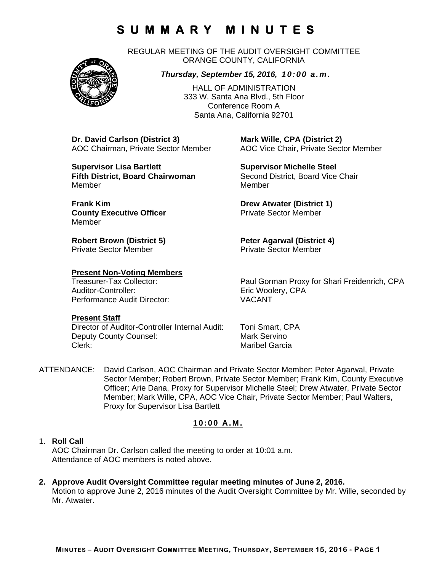REGULAR MEETING OF THE AUDIT OVERSIGHT COMMITTEE ORANGE COUNTY, CALIFORNIA



HALL OF ADMINISTRATION 333 W. Santa Ana Blvd., 5th Floor Conference Room A Santa Ana, California 92701

**Dr. David Carlson (District 3) Mark Wille, CPA (District 2)**

**Supervisor Lisa Bartlett Supervisor Michelle Steel Fifth District, Board Chairwoman** Second District, Board Vice Chair Member Member

**Frank Kim Drew Atwater (District 1) County Executive Officer Private Sector Member** Member

**Robert Brown (District 5) Peter Agarwal (District 4)** Private Sector Member **Private Sector Member** 

## **Present Non-Voting Members**

Auditor-Controller: Eric Woolery, CPA Performance Audit Director: VACANT

## **Present Staff**

Director of Auditor-Controller Internal Audit: Toni Smart, CPA Deputy County Counsel: Mark Servino Clerk: Clerk: Clerk: Maribel Garcia

AOC Chairman, Private Sector Member AOC Vice Chair, Private Sector Member

Treasurer-Tax Collector: Paul Gorman Proxy for Shari Freidenrich, CPA

ATTENDANCE: David Carlson, AOC Chairman and Private Sector Member; Peter Agarwal, Private Sector Member; Robert Brown, Private Sector Member; Frank Kim, County Executive Officer; Arie Dana, Proxy for Supervisor Michelle Steel; Drew Atwater, Private Sector Member; Mark Wille, CPA, AOC Vice Chair, Private Sector Member; Paul Walters, Proxy for Supervisor Lisa Bartlett

## **10:00 A.M.**

## 1. **Roll Call**

AOC Chairman Dr. Carlson called the meeting to order at 10:01 a.m. Attendance of AOC members is noted above.

**2. Approve Audit Oversight Committee regular meeting minutes of June 2, 2016.**  Motion to approve June 2, 2016 minutes of the Audit Oversight Committee by Mr. Wille, seconded by Mr. Atwater.

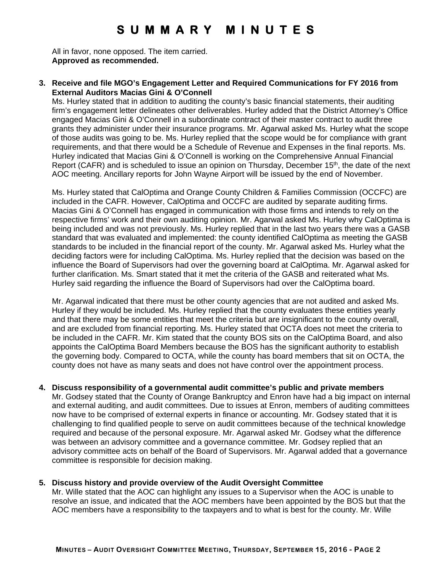All in favor, none opposed. The item carried. **Approved as recommended.** 

#### **3. Receive and file MGO's Engagement Letter and Required Communications for FY 2016 from External Auditors Macias Gini & O'Connell**

Ms. Hurley stated that in addition to auditing the county's basic financial statements, their auditing firm's engagement letter delineates other deliverables. Hurley added that the District Attorney's Office engaged Macias Gini & O'Connell in a subordinate contract of their master contract to audit three grants they administer under their insurance programs. Mr. Agarwal asked Ms. Hurley what the scope of those audits was going to be. Ms. Hurley replied that the scope would be for compliance with grant requirements, and that there would be a Schedule of Revenue and Expenses in the final reports. Ms. Hurley indicated that Macias Gini & O'Connell is working on the Comprehensive Annual Financial Report (CAFR) and is scheduled to issue an opinion on Thursday, December  $15<sup>th</sup>$ , the date of the next AOC meeting. Ancillary reports for John Wayne Airport will be issued by the end of November.

Ms. Hurley stated that CalOptima and Orange County Children & Families Commission (OCCFC) are included in the CAFR. However, CalOptima and OCCFC are audited by separate auditing firms. Macias Gini & O'Connell has engaged in communication with those firms and intends to rely on the respective firms' work and their own auditing opinion. Mr. Agarwal asked Ms. Hurley why CalOptima is being included and was not previously. Ms. Hurley replied that in the last two years there was a GASB standard that was evaluated and implemented: the county identified CalOptima as meeting the GASB standards to be included in the financial report of the county. Mr. Agarwal asked Ms. Hurley what the deciding factors were for including CalOptima. Ms. Hurley replied that the decision was based on the influence the Board of Supervisors had over the governing board at CalOptima. Mr. Agarwal asked for further clarification. Ms. Smart stated that it met the criteria of the GASB and reiterated what Ms. Hurley said regarding the influence the Board of Supervisors had over the CalOptima board.

Mr. Agarwal indicated that there must be other county agencies that are not audited and asked Ms. Hurley if they would be included. Ms. Hurley replied that the county evaluates these entities yearly and that there may be some entities that meet the criteria but are insignificant to the county overall, and are excluded from financial reporting. Ms. Hurley stated that OCTA does not meet the criteria to be included in the CAFR. Mr. Kim stated that the county BOS sits on the CalOptima Board, and also appoints the CalOptima Board Members because the BOS has the significant authority to establish the governing body. Compared to OCTA, while the county has board members that sit on OCTA, the county does not have as many seats and does not have control over the appointment process.

#### **4. Discuss responsibility of a governmental audit committee's public and private members**

Mr. Godsey stated that the County of Orange Bankruptcy and Enron have had a big impact on internal and external auditing, and audit committees. Due to issues at Enron, members of auditing committees now have to be comprised of external experts in finance or accounting. Mr. Godsey stated that it is challenging to find qualified people to serve on audit committees because of the technical knowledge required and because of the personal exposure. Mr. Agarwal asked Mr. Godsey what the difference was between an advisory committee and a governance committee. Mr. Godsey replied that an advisory committee acts on behalf of the Board of Supervisors. Mr. Agarwal added that a governance committee is responsible for decision making.

#### **5. Discuss history and provide overview of the Audit Oversight Committee**

Mr. Wille stated that the AOC can highlight any issues to a Supervisor when the AOC is unable to resolve an issue, and indicated that the AOC members have been appointed by the BOS but that the AOC members have a responsibility to the taxpayers and to what is best for the county. Mr. Wille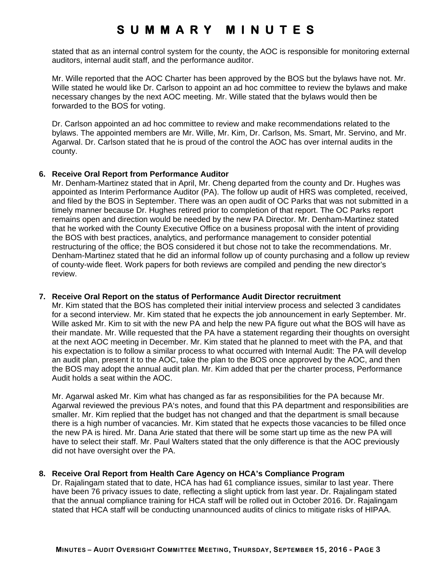stated that as an internal control system for the county, the AOC is responsible for monitoring external auditors, internal audit staff, and the performance auditor.

Mr. Wille reported that the AOC Charter has been approved by the BOS but the bylaws have not. Mr. Wille stated he would like Dr. Carlson to appoint an ad hoc committee to review the bylaws and make necessary changes by the next AOC meeting. Mr. Wille stated that the bylaws would then be forwarded to the BOS for voting.

Dr. Carlson appointed an ad hoc committee to review and make recommendations related to the bylaws. The appointed members are Mr. Wille, Mr. Kim, Dr. Carlson, Ms. Smart, Mr. Servino, and Mr. Agarwal. Dr. Carlson stated that he is proud of the control the AOC has over internal audits in the county.

#### **6. Receive Oral Report from Performance Auditor**

Mr. Denham-Martinez stated that in April, Mr. Cheng departed from the county and Dr. Hughes was appointed as Interim Performance Auditor (PA). The follow up audit of HRS was completed, received, and filed by the BOS in September. There was an open audit of OC Parks that was not submitted in a timely manner because Dr. Hughes retired prior to completion of that report. The OC Parks report remains open and direction would be needed by the new PA Director. Mr. Denham-Martinez stated that he worked with the County Executive Office on a business proposal with the intent of providing the BOS with best practices, analytics, and performance management to consider potential restructuring of the office; the BOS considered it but chose not to take the recommendations. Mr. Denham-Martinez stated that he did an informal follow up of county purchasing and a follow up review of county-wide fleet. Work papers for both reviews are compiled and pending the new director's review.

#### **7. Receive Oral Report on the status of Performance Audit Director recruitment**

Mr. Kim stated that the BOS has completed their initial interview process and selected 3 candidates for a second interview. Mr. Kim stated that he expects the job announcement in early September. Mr. Wille asked Mr. Kim to sit with the new PA and help the new PA figure out what the BOS will have as their mandate. Mr. Wille requested that the PA have a statement regarding their thoughts on oversight at the next AOC meeting in December. Mr. Kim stated that he planned to meet with the PA, and that his expectation is to follow a similar process to what occurred with Internal Audit: The PA will develop an audit plan, present it to the AOC, take the plan to the BOS once approved by the AOC, and then the BOS may adopt the annual audit plan. Mr. Kim added that per the charter process, Performance Audit holds a seat within the AOC.

Mr. Agarwal asked Mr. Kim what has changed as far as responsibilities for the PA because Mr. Agarwal reviewed the previous PA's notes, and found that this PA department and responsibilities are smaller. Mr. Kim replied that the budget has not changed and that the department is small because there is a high number of vacancies. Mr. Kim stated that he expects those vacancies to be filled once the new PA is hired. Mr. Dana Arie stated that there will be some start up time as the new PA will have to select their staff. Mr. Paul Walters stated that the only difference is that the AOC previously did not have oversight over the PA.

## **8. Receive Oral Report from Health Care Agency on HCA's Compliance Program**

Dr. Rajalingam stated that to date, HCA has had 61 compliance issues, similar to last year. There have been 76 privacy issues to date, reflecting a slight uptick from last year. Dr. Rajalingam stated that the annual compliance training for HCA staff will be rolled out in October 2016. Dr. Rajalingam stated that HCA staff will be conducting unannounced audits of clinics to mitigate risks of HIPAA.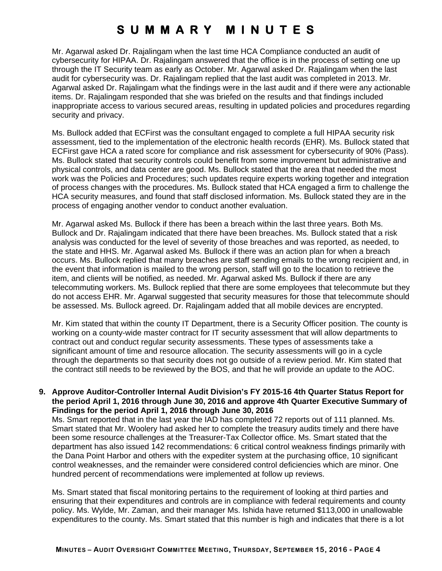Mr. Agarwal asked Dr. Rajalingam when the last time HCA Compliance conducted an audit of cybersecurity for HIPAA. Dr. Rajalingam answered that the office is in the process of setting one up through the IT Security team as early as October. Mr. Agarwal asked Dr. Rajalingam when the last audit for cybersecurity was. Dr. Rajalingam replied that the last audit was completed in 2013. Mr. Agarwal asked Dr. Rajalingam what the findings were in the last audit and if there were any actionable items. Dr. Rajalingam responded that she was briefed on the results and that findings included inappropriate access to various secured areas, resulting in updated policies and procedures regarding security and privacy.

Ms. Bullock added that ECFirst was the consultant engaged to complete a full HIPAA security risk assessment, tied to the implementation of the electronic health records (EHR). Ms. Bullock stated that ECFirst gave HCA a rated score for compliance and risk assessment for cybersecurity of 90% (Pass). Ms. Bullock stated that security controls could benefit from some improvement but administrative and physical controls, and data center are good. Ms. Bullock stated that the area that needed the most work was the Policies and Procedures; such updates require experts working together and integration of process changes with the procedures. Ms. Bullock stated that HCA engaged a firm to challenge the HCA security measures, and found that staff disclosed information. Ms. Bullock stated they are in the process of engaging another vendor to conduct another evaluation.

Mr. Agarwal asked Ms. Bullock if there has been a breach within the last three years. Both Ms. Bullock and Dr. Rajalingam indicated that there have been breaches. Ms. Bullock stated that a risk analysis was conducted for the level of severity of those breaches and was reported, as needed, to the state and HHS. Mr. Agarwal asked Ms. Bullock if there was an action plan for when a breach occurs. Ms. Bullock replied that many breaches are staff sending emails to the wrong recipient and, in the event that information is mailed to the wrong person, staff will go to the location to retrieve the item, and clients will be notified, as needed. Mr. Agarwal asked Ms. Bullock if there are any telecommuting workers. Ms. Bullock replied that there are some employees that telecommute but they do not access EHR. Mr. Agarwal suggested that security measures for those that telecommute should be assessed. Ms. Bullock agreed. Dr. Rajalingam added that all mobile devices are encrypted.

Mr. Kim stated that within the county IT Department, there is a Security Officer position. The county is working on a county-wide master contract for IT security assessment that will allow departments to contract out and conduct regular security assessments. These types of assessments take a significant amount of time and resource allocation. The security assessments will go in a cycle through the departments so that security does not go outside of a review period. Mr. Kim stated that the contract still needs to be reviewed by the BOS, and that he will provide an update to the AOC.

**9. Approve Auditor-Controller Internal Audit Division's FY 2015-16 4th Quarter Status Report for the period April 1, 2016 through June 30, 2016 and approve 4th Quarter Executive Summary of Findings for the period April 1, 2016 through June 30, 2016** 

Ms. Smart reported that in the last year the IAD has completed 72 reports out of 111 planned. Ms. Smart stated that Mr. Woolery had asked her to complete the treasury audits timely and there have been some resource challenges at the Treasurer-Tax Collector office. Ms. Smart stated that the department has also issued 142 recommendations: 6 critical control weakness findings primarily with the Dana Point Harbor and others with the expediter system at the purchasing office, 10 significant control weaknesses, and the remainder were considered control deficiencies which are minor. One hundred percent of recommendations were implemented at follow up reviews.

Ms. Smart stated that fiscal monitoring pertains to the requirement of looking at third parties and ensuring that their expenditures and controls are in compliance with federal requirements and county policy. Ms. Wylde, Mr. Zaman, and their manager Ms. Ishida have returned \$113,000 in unallowable expenditures to the county. Ms. Smart stated that this number is high and indicates that there is a lot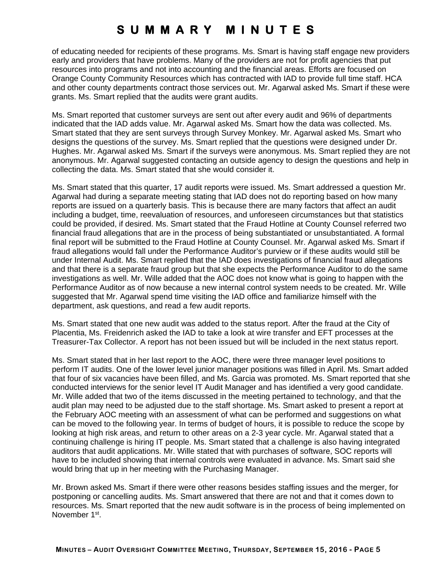of educating needed for recipients of these programs. Ms. Smart is having staff engage new providers early and providers that have problems. Many of the providers are not for profit agencies that put resources into programs and not into accounting and the financial areas. Efforts are focused on Orange County Community Resources which has contracted with IAD to provide full time staff. HCA and other county departments contract those services out. Mr. Agarwal asked Ms. Smart if these were grants. Ms. Smart replied that the audits were grant audits.

Ms. Smart reported that customer surveys are sent out after every audit and 96% of departments indicated that the IAD adds value. Mr. Agarwal asked Ms. Smart how the data was collected. Ms. Smart stated that they are sent surveys through Survey Monkey. Mr. Agarwal asked Ms. Smart who designs the questions of the survey. Ms. Smart replied that the questions were designed under Dr. Hughes. Mr. Agarwal asked Ms. Smart if the surveys were anonymous. Ms. Smart replied they are not anonymous. Mr. Agarwal suggested contacting an outside agency to design the questions and help in collecting the data. Ms. Smart stated that she would consider it.

Ms. Smart stated that this quarter, 17 audit reports were issued. Ms. Smart addressed a question Mr. Agarwal had during a separate meeting stating that IAD does not do reporting based on how many reports are issued on a quarterly basis. This is because there are many factors that affect an audit including a budget, time, reevaluation of resources, and unforeseen circumstances but that statistics could be provided, if desired. Ms. Smart stated that the Fraud Hotline at County Counsel referred two financial fraud allegations that are in the process of being substantiated or unsubstantiated. A formal final report will be submitted to the Fraud Hotline at County Counsel. Mr. Agarwal asked Ms. Smart if fraud allegations would fall under the Performance Auditor's purview or if these audits would still be under Internal Audit. Ms. Smart replied that the IAD does investigations of financial fraud allegations and that there is a separate fraud group but that she expects the Performance Auditor to do the same investigations as well. Mr. Wille added that the AOC does not know what is going to happen with the Performance Auditor as of now because a new internal control system needs to be created. Mr. Wille suggested that Mr. Agarwal spend time visiting the IAD office and familiarize himself with the department, ask questions, and read a few audit reports.

Ms. Smart stated that one new audit was added to the status report. After the fraud at the City of Placentia, Ms. Freidenrich asked the IAD to take a look at wire transfer and EFT processes at the Treasurer-Tax Collector. A report has not been issued but will be included in the next status report.

Ms. Smart stated that in her last report to the AOC, there were three manager level positions to perform IT audits. One of the lower level junior manager positions was filled in April. Ms. Smart added that four of six vacancies have been filled, and Ms. Garcia was promoted. Ms. Smart reported that she conducted interviews for the senior level IT Audit Manager and has identified a very good candidate. Mr. Wille added that two of the items discussed in the meeting pertained to technology, and that the audit plan may need to be adjusted due to the staff shortage. Ms. Smart asked to present a report at the February AOC meeting with an assessment of what can be performed and suggestions on what can be moved to the following year. In terms of budget of hours, it is possible to reduce the scope by looking at high risk areas, and return to other areas on a 2-3 year cycle. Mr. Agarwal stated that a continuing challenge is hiring IT people. Ms. Smart stated that a challenge is also having integrated auditors that audit applications. Mr. Wille stated that with purchases of software, SOC reports will have to be included showing that internal controls were evaluated in advance. Ms. Smart said she would bring that up in her meeting with the Purchasing Manager.

Mr. Brown asked Ms. Smart if there were other reasons besides staffing issues and the merger, for postponing or cancelling audits. Ms. Smart answered that there are not and that it comes down to resources. Ms. Smart reported that the new audit software is in the process of being implemented on November 1st.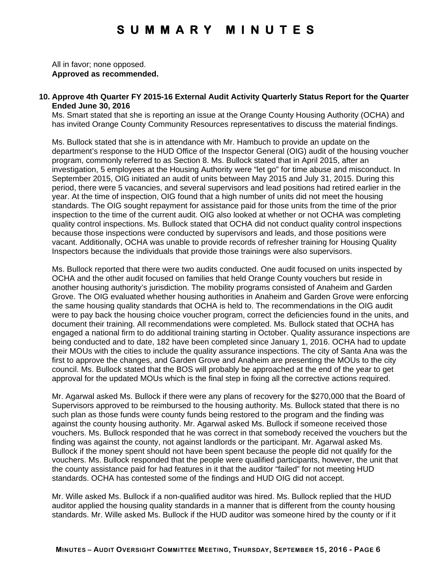All in favor; none opposed. **Approved as recommended.** 

#### **10. Approve 4th Quarter FY 2015-16 External Audit Activity Quarterly Status Report for the Quarter Ended June 30, 2016**

Ms. Smart stated that she is reporting an issue at the Orange County Housing Authority (OCHA) and has invited Orange County Community Resources representatives to discuss the material findings.

Ms. Bullock stated that she is in attendance with Mr. Hambuch to provide an update on the department's response to the HUD Office of the Inspector General (OIG) audit of the housing voucher program, commonly referred to as Section 8. Ms. Bullock stated that in April 2015, after an investigation, 5 employees at the Housing Authority were "let go" for time abuse and misconduct. In September 2015, OIG initiated an audit of units between May 2015 and July 31, 2015. During this period, there were 5 vacancies, and several supervisors and lead positions had retired earlier in the year. At the time of inspection, OIG found that a high number of units did not meet the housing standards. The OIG sought repayment for assistance paid for those units from the time of the prior inspection to the time of the current audit. OIG also looked at whether or not OCHA was completing quality control inspections. Ms. Bullock stated that OCHA did not conduct quality control inspections because those inspections were conducted by supervisors and leads, and those positions were vacant. Additionally, OCHA was unable to provide records of refresher training for Housing Quality Inspectors because the individuals that provide those trainings were also supervisors.

Ms. Bullock reported that there were two audits conducted. One audit focused on units inspected by OCHA and the other audit focused on families that held Orange County vouchers but reside in another housing authority's jurisdiction. The mobility programs consisted of Anaheim and Garden Grove. The OIG evaluated whether housing authorities in Anaheim and Garden Grove were enforcing the same housing quality standards that OCHA is held to. The recommendations in the OIG audit were to pay back the housing choice voucher program, correct the deficiencies found in the units, and document their training. All recommendations were completed. Ms. Bullock stated that OCHA has engaged a national firm to do additional training starting in October. Quality assurance inspections are being conducted and to date, 182 have been completed since January 1, 2016. OCHA had to update their MOUs with the cities to include the quality assurance inspections. The city of Santa Ana was the first to approve the changes, and Garden Grove and Anaheim are presenting the MOUs to the city council. Ms. Bullock stated that the BOS will probably be approached at the end of the year to get approval for the updated MOUs which is the final step in fixing all the corrective actions required.

Mr. Agarwal asked Ms. Bullock if there were any plans of recovery for the \$270,000 that the Board of Supervisors approved to be reimbursed to the housing authority. Ms. Bullock stated that there is no such plan as those funds were county funds being restored to the program and the finding was against the county housing authority. Mr. Agarwal asked Ms. Bullock if someone received those vouchers. Ms. Bullock responded that he was correct in that somebody received the vouchers but the finding was against the county, not against landlords or the participant. Mr. Agarwal asked Ms. Bullock if the money spent should not have been spent because the people did not qualify for the vouchers. Ms. Bullock responded that the people were qualified participants, however, the unit that the county assistance paid for had features in it that the auditor "failed" for not meeting HUD standards. OCHA has contested some of the findings and HUD OIG did not accept.

Mr. Wille asked Ms. Bullock if a non-qualified auditor was hired. Ms. Bullock replied that the HUD auditor applied the housing quality standards in a manner that is different from the county housing standards. Mr. Wille asked Ms. Bullock if the HUD auditor was someone hired by the county or if it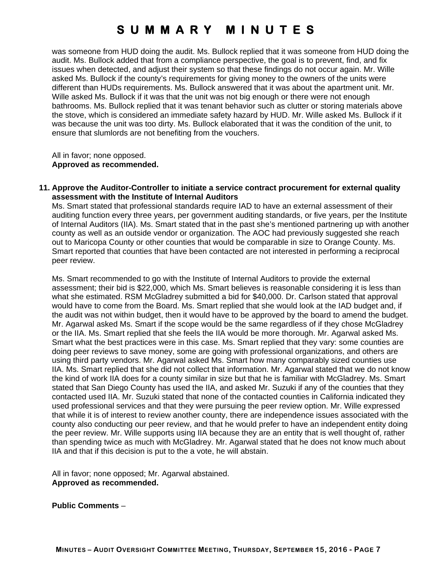was someone from HUD doing the audit. Ms. Bullock replied that it was someone from HUD doing the audit. Ms. Bullock added that from a compliance perspective, the goal is to prevent, find, and fix issues when detected, and adjust their system so that these findings do not occur again. Mr. Wille asked Ms. Bullock if the county's requirements for giving money to the owners of the units were different than HUDs requirements. Ms. Bullock answered that it was about the apartment unit. Mr. Wille asked Ms. Bullock if it was that the unit was not big enough or there were not enough bathrooms. Ms. Bullock replied that it was tenant behavior such as clutter or storing materials above the stove, which is considered an immediate safety hazard by HUD. Mr. Wille asked Ms. Bullock if it was because the unit was too dirty. Ms. Bullock elaborated that it was the condition of the unit, to ensure that slumlords are not benefiting from the vouchers.

All in favor; none opposed. **Approved as recommended.** 

**11. Approve the Auditor-Controller to initiate a service contract procurement for external quality assessment with the Institute of Internal Auditors** 

Ms. Smart stated that professional standards require IAD to have an external assessment of their auditing function every three years, per government auditing standards, or five years, per the Institute of Internal Auditors (IIA). Ms. Smart stated that in the past she's mentioned partnering up with another county as well as an outside vendor or organization. The AOC had previously suggested she reach out to Maricopa County or other counties that would be comparable in size to Orange County. Ms. Smart reported that counties that have been contacted are not interested in performing a reciprocal peer review.

Ms. Smart recommended to go with the Institute of Internal Auditors to provide the external assessment; their bid is \$22,000, which Ms. Smart believes is reasonable considering it is less than what she estimated. RSM McGladrey submitted a bid for \$40,000. Dr. Carlson stated that approval would have to come from the Board. Ms. Smart replied that she would look at the IAD budget and, if the audit was not within budget, then it would have to be approved by the board to amend the budget. Mr. Agarwal asked Ms. Smart if the scope would be the same regardless of if they chose McGladrey or the IIA. Ms. Smart replied that she feels the IIA would be more thorough. Mr. Agarwal asked Ms. Smart what the best practices were in this case. Ms. Smart replied that they vary: some counties are doing peer reviews to save money, some are going with professional organizations, and others are using third party vendors. Mr. Agarwal asked Ms. Smart how many comparably sized counties use IIA. Ms. Smart replied that she did not collect that information. Mr. Agarwal stated that we do not know the kind of work IIA does for a county similar in size but that he is familiar with McGladrey. Ms. Smart stated that San Diego County has used the IIA, and asked Mr. Suzuki if any of the counties that they contacted used IIA. Mr. Suzuki stated that none of the contacted counties in California indicated they used professional services and that they were pursuing the peer review option. Mr. Wille expressed that while it is of interest to review another county, there are independence issues associated with the county also conducting our peer review, and that he would prefer to have an independent entity doing the peer review. Mr. Wille supports using IIA because they are an entity that is well thought of, rather than spending twice as much with McGladrey. Mr. Agarwal stated that he does not know much about IIA and that if this decision is put to the a vote, he will abstain.

All in favor; none opposed; Mr. Agarwal abstained. **Approved as recommended.** 

**Public Comments** –